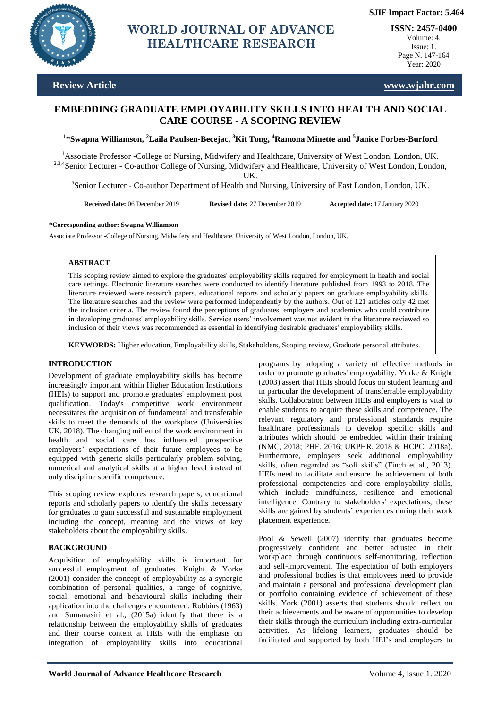

# **Page 16451.0 <b>WORLD JOURNAL OF ADVANCE** ISSN: 2457-0 **HEALTHCARE RESEARCH**

**ISSN: 2457-0400** Volume: 4. Issue: 1. Page N. 147-164

Year: 2020

# **Review Article www.wjahr.com**

# **EMBEDDING GRADUATE EMPLOYABILITY SKILLS INTO HEALTH AND SOCIAL CARE COURSE - A SCOPING REVIEW**

**1 \*Swapna Williamson, <sup>2</sup>Laila Paulsen-Becejac, <sup>3</sup>Kit Tong, <sup>4</sup>Ramona Minette and <sup>5</sup> Janice Forbes-Burford**

<sup>1</sup>Associate Professor -College of Nursing, Midwifery and Healthcare, University of West London, London, UK. <sup>2,3,4</sup>Senior Lecturer - Co-author College of Nursing, Midwifery and Healthcare, University of West London, London,

UK.

<sup>5</sup>Senior Lecturer - Co-author Department of Health and Nursing, University of East London, London, UK.

| <b>Received date:</b> 06 December 2019 | <b>Revised date: 27 December 2019</b> | <b>Accepted date: 17 January 2020</b> |
|----------------------------------------|---------------------------------------|---------------------------------------|
|----------------------------------------|---------------------------------------|---------------------------------------|

#### **\*Corresponding author: Swapna Williamson**

Associate Professor -College of Nursing, Midwifery and Healthcare, University of West London, London, UK.

#### **ABSTRACT**

This scoping review aimed to explore the graduates' employability skills required for employment in health and social care settings. Electronic literature searches were conducted to identify literature published from 1993 to 2018. The literature reviewed were research papers, educational reports and scholarly papers on graduate employability skills. The literature searches and the review were performed independently by the authors. Out of 121 articles only 42 met the inclusion criteria. The review found the perceptions of graduates, employers and academics who could contribute in developing graduates' employability skills. Service users" involvement was not evident in the literature reviewed so inclusion of their views was recommended as essential in identifying desirable graduates' employability skills.

**KEYWORDS:** Higher education, Employability skills, Stakeholders, Scoping review, Graduate personal attributes.

# **INTRODUCTION**

Development of graduate employability skills has become increasingly important within Higher Education Institutions (HEIs) to support and promote graduates' employment post qualification. Today's competitive work environment necessitates the acquisition of fundamental and transferable skills to meet the demands of the workplace (Universities UK, 2018). The changing milieu of the work environment in health and social care has influenced prospective employers' expectations of their future employees to be equipped with generic skills particularly problem solving, numerical and analytical skills at a higher level instead of only discipline specific competence.

This scoping review explores research papers, educational reports and scholarly papers to identify the skills necessary for graduates to gain successful and sustainable employment including the concept, meaning and the views of key stakeholders about the employability skills.

# **BACKGROUND**

Acquisition of employability skills is important for successful employment of graduates. Knight & Yorke (2001) consider the concept of employability as a synergic combination of personal qualities, a range of cognitive, social, emotional and behavioural skills including their application into the challenges encountered. Robbins (1963) and Sumanasiri et al., (2015a) identify that there is a relationship between the employability skills of graduates and their course content at HEIs with the emphasis on integration of employability skills into educational

programs by adopting a variety of effective methods in order to promote graduates' employability. Yorke & Knight (2003) assert that HEIs should focus on student learning and in particular the development of transferrable employability skills. Collaboration between HEIs and employers is vital to enable students to acquire these skills and competence. The relevant regulatory and professional standards require healthcare professionals to develop specific skills and attributes which should be embedded within their training (NMC, 2018; PHE, 2016; UKPHR, 2018 & HCPC, 2018a). Furthermore, employers seek additional employability skills, often regarded as "soft skills" (Finch et al., 2013). HEIs need to facilitate and ensure the achievement of both professional competencies and core employability skills, which include mindfulness, resilience and emotional intelligence. Contrary to stakeholders' expectations, these skills are gained by students' experiences during their work placement experience.

Pool & Sewell (2007) identify that graduates become progressively confident and better adjusted in their workplace through continuous self-monitoring, reflection and self-improvement. The expectation of both employers and professional bodies is that employees need to provide and maintain a personal and professional development plan or portfolio containing evidence of achievement of these skills. York (2001) asserts that students should reflect on their achievements and be aware of opportunities to develop their skills through the curriculum including extra-curricular activities. As lifelong learners, graduates should be facilitated and supported by both HEI's and employers to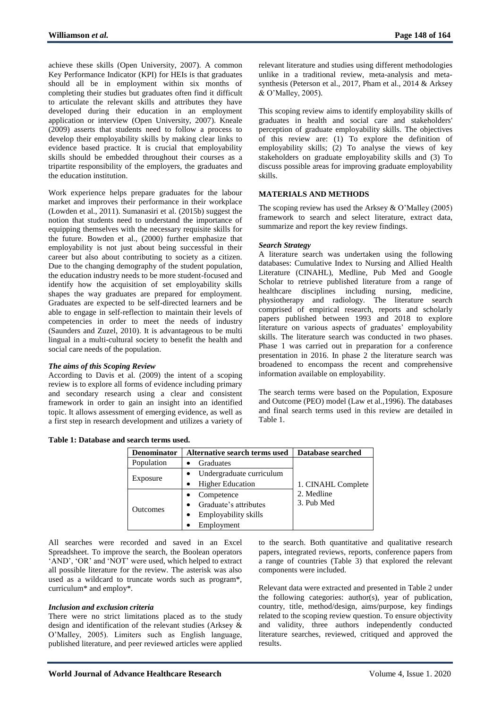achieve these skills (Open University, 2007). A common Key Performance Indicator (KPI) for HEIs is that graduates should all be in employment within six months of completing their studies but graduates often find it difficult to articulate the relevant skills and attributes they have developed during their education in an employment application or interview (Open University, 2007). Kneale (2009) asserts that students need to follow a process to develop their employability skills by making clear links to evidence based practice. It is crucial that employability skills should be embedded throughout their courses as a tripartite responsibility of the employers, the graduates and the education institution.

Work experience helps prepare graduates for the labour market and improves their performance in their workplace (Lowden et al., 2011). Sumanasiri et al. (2015b) suggest the notion that students need to understand the importance of equipping themselves with the necessary requisite skills for the future. Bowden et al., (2000) further emphasize that employability is not just about being successful in their career but also about contributing to society as a citizen. Due to the changing demography of the student population, the education industry needs to be more student-focused and identify how the acquisition of set employability skills shapes the way graduates are prepared for employment. Graduates are expected to be self-directed learners and be able to engage in self-reflection to maintain their levels of competencies in order to meet the needs of industry (Saunders and Zuzel, 2010). It is advantageous to be multi lingual in a multi-cultural society to benefit the health and social care needs of the population.

# *The aims of this Scoping Review*

According to Davis et al. (2009) the intent of a scoping review is to explore all forms of evidence including primary and secondary research using a clear and consistent framework in order to gain an insight into an identified topic. It allows assessment of emerging evidence, as well as a first step in research development and utilizes a variety of

relevant literature and studies using different methodologies unlike in a traditional review, meta-analysis and metasynthesis (Peterson et al., 2017, Pham et al., 2014 & Arksey & O"Malley, 2005).

This scoping review aims to identify employability skills of graduates in health and social care and stakeholders' perception of graduate employability skills. The objectives of this review are: (1) To explore the definition of employability skills; (2) To analyse the views of key stakeholders on graduate employability skills and (3) To discuss possible areas for improving graduate employability skills.

#### **MATERIALS AND METHODS**

The scoping review has used the Arksey  $& O'Malley (2005)$ framework to search and select literature, extract data, summarize and report the key review findings.

#### *Search Strategy*

A literature search was undertaken using the following databases: Cumulative Index to Nursing and Allied Health Literature (CINAHL), Medline, Pub Med and Google Scholar to retrieve published literature from a range of healthcare disciplines including nursing, medicine, physiotherapy and radiology. The literature search comprised of empirical research, reports and scholarly papers published between 1993 and 2018 to explore literature on various aspects of graduates' employability skills. The literature search was conducted in two phases. Phase 1 was carried out in preparation for a conference presentation in 2016. In phase 2 the literature search was broadened to encompass the recent and comprehensive information available on employability.

The search terms were based on the Population, Exposure and Outcome (PEO) model (Law et al.,1996). The databases and final search terms used in this review are detailed in Table 1.

|  | Table 1: Database and search terms used. |
|--|------------------------------------------|
|--|------------------------------------------|

| <b>Denominator</b> | Alternative search terms used | Database searched  |
|--------------------|-------------------------------|--------------------|
| Population         | Graduates                     |                    |
|                    | Undergraduate curriculum      |                    |
| Exposure           | <b>Higher Education</b>       | 1. CINAHL Complete |
|                    | Competence                    | 2. Medline         |
| <b>Outcomes</b>    | Graduate's attributes         | 3. Pub Med         |
|                    | Employability skills          |                    |
|                    | Employment                    |                    |

All searches were recorded and saved in an Excel Spreadsheet. To improve the search, the Boolean operators 'AND', 'OR' and 'NOT' were used, which helped to extract all possible literature for the review. The asterisk was also used as a wildcard to truncate words such as program\*, curriculum\* and employ\*.

#### *Inclusion and exclusion criteria*

There were no strict limitations placed as to the study design and identification of the relevant studies (Arksey & O"Malley, 2005). Limiters such as English language, published literature, and peer reviewed articles were applied

to the search. Both quantitative and qualitative research papers, integrated reviews, reports, conference papers from a range of countries (Table 3) that explored the relevant components were included.

Relevant data were extracted and presented in Table 2 under the following categories: author(s), year of publication, country, title, method/design, aims/purpose, key findings related to the scoping review question. To ensure objectivity and validity, three authors independently conducted literature searches, reviewed, critiqued and approved the results.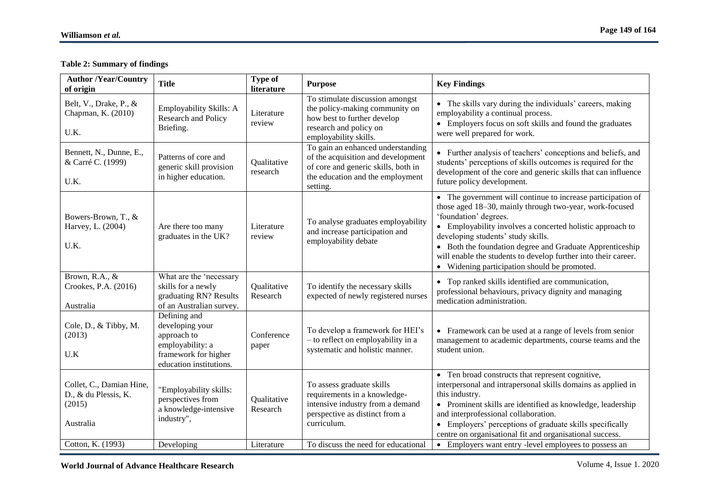# **Table 2: Summary of findings**

| <b>Author /Year/Country</b><br>of origin                                                     | <b>Title</b>                                                                                                          | <b>Type of</b><br>literature          | <b>Purpose</b>                                                                                                                                                                        | <b>Key Findings</b>                                                                                                                                                                                                                                                                                                                                                                                                              |
|----------------------------------------------------------------------------------------------|-----------------------------------------------------------------------------------------------------------------------|---------------------------------------|---------------------------------------------------------------------------------------------------------------------------------------------------------------------------------------|----------------------------------------------------------------------------------------------------------------------------------------------------------------------------------------------------------------------------------------------------------------------------------------------------------------------------------------------------------------------------------------------------------------------------------|
| Belt, V., Drake, P., &<br>Chapman, K. (2010)<br>U.K.                                         | Employability Skills: A<br>Research and Policy<br>Briefing.                                                           | Literature<br>review                  | To stimulate discussion amongst<br>the policy-making community on<br>how best to further develop<br>research and policy on<br>employability skills.                                   | • The skills vary during the individuals' careers, making<br>employability a continual process.<br>• Employers focus on soft skills and found the graduates<br>were well prepared for work.                                                                                                                                                                                                                                      |
| Bennett, N., Dunne, E.,<br>& Carré C. (1999)<br>U.K.                                         | Patterns of core and<br>generic skill provision<br>in higher education.                                               | Qualitative<br>research               | To gain an enhanced understanding<br>of the acquisition and development<br>of core and generic skills, both in<br>the education and the employment<br>setting.                        | • Further analysis of teachers' conceptions and beliefs, and<br>students' perceptions of skills outcomes is required for the<br>development of the core and generic skills that can influence<br>future policy development.                                                                                                                                                                                                      |
| Bowers-Brown, T., &<br>Harvey, L. (2004)<br>U.K.                                             | Are there too many<br>graduates in the UK?                                                                            | Literature<br>review                  | To analyse graduates employability<br>and increase participation and<br>employability debate                                                                                          | • The government will continue to increase participation of<br>those aged 18-30, mainly through two-year, work-focused<br>'foundation' degrees.<br>• Employability involves a concerted holistic approach to<br>developing students' study skills.<br>• Both the foundation degree and Graduate Apprenticeship<br>will enable the students to develop further into their career.<br>• Widening participation should be promoted. |
| Brown, R.A., &<br>Crookes, P.A. (2016)<br>Australia                                          | What are the 'necessary<br>skills for a newly<br>graduating RN? Results<br>of an Australian survey.                   | Qualitative<br>Research               | To identify the necessary skills<br>expected of newly registered nurses                                                                                                               | • Top ranked skills identified are communication,<br>professional behaviours, privacy dignity and managing<br>medication administration.                                                                                                                                                                                                                                                                                         |
| Cole, D., & Tibby, M.<br>(2013)<br>U.K                                                       | Defining and<br>developing your<br>approach to<br>employability: a<br>framework for higher<br>education institutions. | Conference<br>paper                   | To develop a framework for HEI's<br>- to reflect on employability in a<br>systematic and holistic manner.                                                                             | • Framework can be used at a range of levels from senior<br>management to academic departments, course teams and the<br>student union.                                                                                                                                                                                                                                                                                           |
| Collet, C., Damian Hine,<br>D., & du Plessis, K.<br>(2015)<br>Australia<br>Cotton, K. (1993) | "Employability skills:<br>perspectives from<br>a knowledge-intensive<br>industry",<br>Developing                      | Qualitative<br>Research<br>Literature | To assess graduate skills<br>requirements in a knowledge-<br>intensive industry from a demand<br>perspective as distinct from a<br>curriculum.<br>To discuss the need for educational | • Ten broad constructs that represent cognitive,<br>interpersonal and intrapersonal skills domains as applied in<br>this industry.<br>• Prominent skills are identified as knowledge, leadership<br>and interprofessional collaboration.<br>• Employers' perceptions of graduate skills specifically<br>centre on organisational fit and organisational success.<br>• Employers want entry -level employees to possess an        |
|                                                                                              |                                                                                                                       |                                       |                                                                                                                                                                                       |                                                                                                                                                                                                                                                                                                                                                                                                                                  |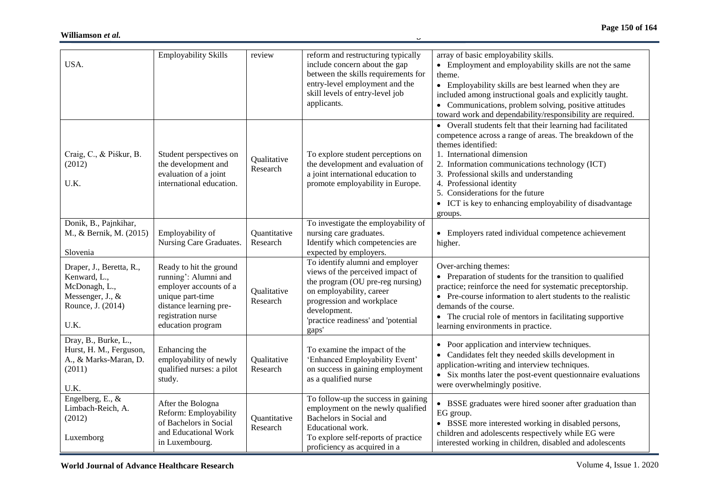| USA.                                                                                                       | <b>Employability Skills</b>                                                                                                                                        | review                   | reform and restructuring typically<br>include concern about the gap<br>between the skills requirements for<br>entry-level employment and the<br>skill levels of entry-level job<br>applicants.                                   | array of basic employability skills.<br>• Employment and employability skills are not the same<br>theme.<br>• Employability skills are best learned when they are<br>included among instructional goals and explicitly taught.<br>• Communications, problem solving, positive attitudes<br>toward work and dependability/responsibility are required.                                                           |
|------------------------------------------------------------------------------------------------------------|--------------------------------------------------------------------------------------------------------------------------------------------------------------------|--------------------------|----------------------------------------------------------------------------------------------------------------------------------------------------------------------------------------------------------------------------------|-----------------------------------------------------------------------------------------------------------------------------------------------------------------------------------------------------------------------------------------------------------------------------------------------------------------------------------------------------------------------------------------------------------------|
| Craig, C., & Piśkur, B.<br>(2012)<br>U.K.                                                                  | Student perspectives on<br>the development and<br>evaluation of a joint<br>international education.                                                                | Qualitative<br>Research  | To explore student perceptions on<br>the development and evaluation of<br>a joint international education to<br>promote employability in Europe.                                                                                 | • Overall students felt that their learning had facilitated<br>competence across a range of areas. The breakdown of the<br>themes identified:<br>1. International dimension<br>2. Information communications technology (ICT)<br>3. Professional skills and understanding<br>4. Professional identity<br>5. Considerations for the future<br>• ICT is key to enhancing employability of disadvantage<br>groups. |
| Donik, B., Pajnkihar,<br>M., & Bernik, M. (2015)<br>Slovenia                                               | Employability of<br>Nursing Care Graduates.                                                                                                                        | Quantitative<br>Research | To investigate the employability of<br>nursing care graduates.<br>Identify which competencies are<br>expected by employers.                                                                                                      | • Employers rated individual competence achievement<br>higher.                                                                                                                                                                                                                                                                                                                                                  |
| Draper, J., Beretta, R.,<br>Kenward, L.,<br>McDonagh, L.,<br>Messenger, J., &<br>Rounce, J. (2014)<br>U.K. | Ready to hit the ground<br>running': Alumni and<br>employer accounts of a<br>unique part-time<br>distance learning pre-<br>registration nurse<br>education program | Qualitative<br>Research  | To identify alumni and employer<br>views of the perceived impact of<br>the program (OU pre-reg nursing)<br>on employability, career<br>progression and workplace<br>development.<br>'practice readiness' and 'potential<br>gaps' | Over-arching themes:<br>• Preparation of students for the transition to qualified<br>practice; reinforce the need for systematic preceptorship.<br>• Pre-course information to alert students to the realistic<br>demands of the course.<br>• The crucial role of mentors in facilitating supportive<br>learning environments in practice.                                                                      |
| Dray, B., Burke, L.,<br>Hurst, H. M., Ferguson,<br>A., & Marks-Maran, D.<br>(2011)<br>U.K.                 | Enhancing the<br>employability of newly<br>qualified nurses: a pilot<br>study.                                                                                     | Qualitative<br>Research  | To examine the impact of the<br>'Enhanced Employability Event'<br>on success in gaining employment<br>as a qualified nurse                                                                                                       | • Poor application and interview techniques.<br>• Candidates felt they needed skills development in<br>application-writing and interview techniques.<br>• Six months later the post-event questionnaire evaluations<br>were overwhelmingly positive.                                                                                                                                                            |
| Engelberg, E., &<br>Limbach-Reich, A.<br>(2012)<br>Luxemborg                                               | After the Bologna<br>Reform: Employability<br>of Bachelors in Social<br>and Educational Work<br>in Luxembourg.                                                     | Quantitative<br>Research | To follow-up the success in gaining<br>employment on the newly qualified<br>Bachelors in Social and<br>Educational work.<br>To explore self-reports of practice<br>proficiency as acquired in a                                  | • BSSE graduates were hired sooner after graduation than<br>EG group.<br>• BSSE more interested working in disabled persons,<br>children and adolescents respectively while EG were<br>interested working in children, disabled and adolescents                                                                                                                                                                 |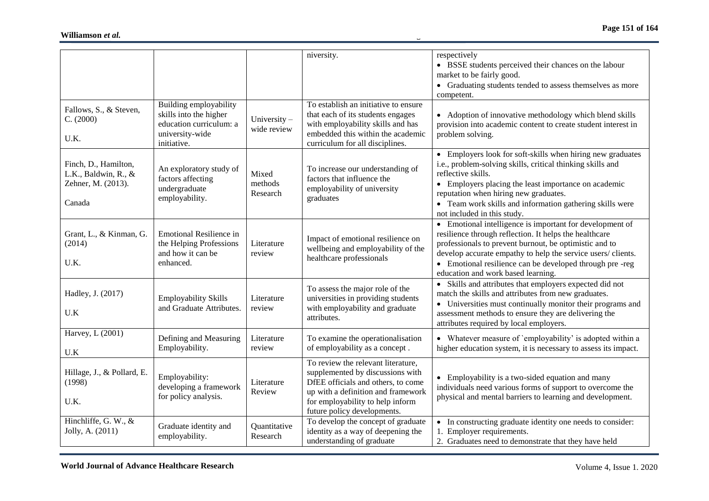|                            |                                                |              | niversity.                                                     | respectively                                                   |
|----------------------------|------------------------------------------------|--------------|----------------------------------------------------------------|----------------------------------------------------------------|
|                            |                                                |              |                                                                | • BSSE students perceived their chances on the labour          |
|                            |                                                |              |                                                                | market to be fairly good.                                      |
|                            |                                                |              |                                                                | • Graduating students tended to assess themselves as more      |
|                            |                                                |              |                                                                | competent.                                                     |
|                            | Building employability                         |              | To establish an initiative to ensure                           |                                                                |
| Fallows, S., & Steven,     | skills into the higher                         |              | that each of its students engages                              | • Adoption of innovative methodology which blend skills        |
| C. (2000)                  | education curriculum: a                        | University-  | with employability skills and has                              | provision into academic content to create student interest in  |
|                            | university-wide                                | wide review  | embedded this within the academic                              | problem solving.                                               |
| U.K.                       | initiative.                                    |              | curriculum for all disciplines.                                |                                                                |
|                            |                                                |              |                                                                | • Employers look for soft-skills when hiring new graduates     |
| Finch, D., Hamilton,       |                                                |              |                                                                | i.e., problem-solving skills, critical thinking skills and     |
| L.K., Baldwin, R., $&$     | An exploratory study of<br>factors affecting   | Mixed        | To increase our understanding of<br>factors that influence the | reflective skills.                                             |
| Zehner, M. (2013).         | undergraduate                                  | methods      | employability of university                                    | • Employers placing the least importance on academic           |
|                            | employability.                                 | Research     | graduates                                                      | reputation when hiring new graduates.                          |
| Canada                     |                                                |              |                                                                | • Team work skills and information gathering skills were       |
|                            |                                                |              |                                                                | not included in this study.                                    |
|                            |                                                |              |                                                                | • Emotional intelligence is important for development of       |
| Grant, L., & Kinman, G.    | <b>Emotional Resilience in</b>                 |              | Impact of emotional resilience on                              | resilience through reflection. It helps the healthcare         |
| (2014)                     | the Helping Professions                        | Literature   | wellbeing and employability of the                             | professionals to prevent burnout, be optimistic and to         |
|                            | and how it can be                              | review       | healthcare professionals                                       | develop accurate empathy to help the service users/clients.    |
| U.K.                       | enhanced.                                      |              |                                                                | • Emotional resilience can be developed through pre-reg        |
|                            |                                                |              |                                                                | education and work based learning.                             |
|                            |                                                |              | To assess the major role of the                                | • Skills and attributes that employers expected did not        |
| Hadley, J. (2017)          | <b>Employability Skills</b>                    | Literature   | universities in providing students                             | match the skills and attributes from new graduates.            |
| U.K                        | and Graduate Attributes.                       | review       | with employability and graduate                                | • Universities must continually monitor their programs and     |
|                            |                                                |              | attributes.                                                    | assessment methods to ensure they are delivering the           |
| Harvey, L (2001)           |                                                |              |                                                                | attributes required by local employers.                        |
|                            | Defining and Measuring                         | Literature   | To examine the operationalisation                              | • Whatever measure of `employability` is adopted within a      |
| U.K                        | Employability.                                 | review       | of employability as a concept.                                 | higher education system, it is necessary to assess its impact. |
|                            |                                                |              | To review the relevant literature,                             |                                                                |
| Hillage, J., & Pollard, E. |                                                |              | supplemented by discussions with                               |                                                                |
| (1998)                     | Employability:                                 | Literature   | DfEE officials and others, to come                             | • Employability is a two-sided equation and many               |
|                            | developing a framework<br>for policy analysis. | Review       | up with a definition and framework                             | individuals need various forms of support to overcome the      |
| U.K.                       |                                                |              | for employability to help inform                               | physical and mental barriers to learning and development.      |
|                            |                                                |              | future policy developments.                                    |                                                                |
| Hinchliffe, G. W., &       | Graduate identity and                          | Quantitative | To develop the concept of graduate                             | • In constructing graduate identity one needs to consider:     |
| Jolly, A. (2011)           | employability.                                 | Research     | identity as a way of deepening the                             | 1. Employer requirements.                                      |
|                            |                                                |              | understanding of graduate                                      | 2. Graduates need to demonstrate that they have held           |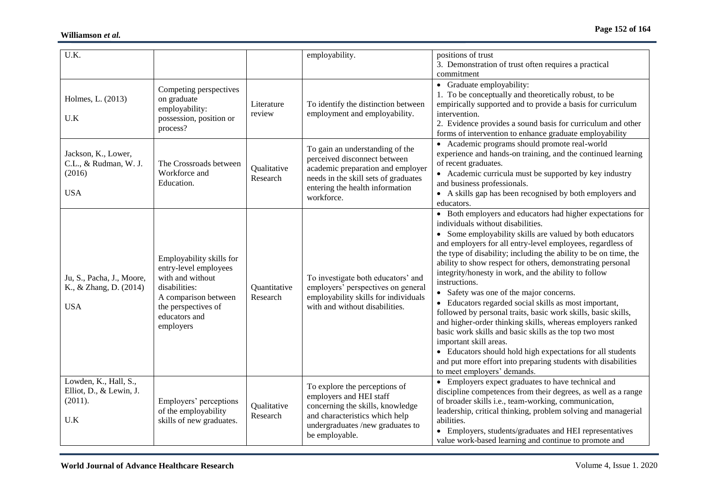| U.K.                                                                 |                                                                                                                                                                     |                          | employability.                                                                                                                                                                                | positions of trust<br>3. Demonstration of trust often requires a practical<br>commitment                                                                                                                                                                                                                                                                                                                                                                                                                                                                                                                                                                                                                                                                                                                                                                                                                                  |
|----------------------------------------------------------------------|---------------------------------------------------------------------------------------------------------------------------------------------------------------------|--------------------------|-----------------------------------------------------------------------------------------------------------------------------------------------------------------------------------------------|---------------------------------------------------------------------------------------------------------------------------------------------------------------------------------------------------------------------------------------------------------------------------------------------------------------------------------------------------------------------------------------------------------------------------------------------------------------------------------------------------------------------------------------------------------------------------------------------------------------------------------------------------------------------------------------------------------------------------------------------------------------------------------------------------------------------------------------------------------------------------------------------------------------------------|
| Holmes, L. (2013)<br>U.K                                             | Competing perspectives<br>on graduate<br>employability:<br>possession, position or<br>process?                                                                      | Literature<br>review     | To identify the distinction between<br>employment and employability.                                                                                                                          | • Graduate employability:<br>1. To be conceptually and theoretically robust, to be<br>empirically supported and to provide a basis for curriculum<br>intervention.<br>2. Evidence provides a sound basis for curriculum and other<br>forms of intervention to enhance graduate employability                                                                                                                                                                                                                                                                                                                                                                                                                                                                                                                                                                                                                              |
| Jackson, K., Lower,<br>C.L., & Rudman, W. J.<br>(2016)<br><b>USA</b> | The Crossroads between<br>Workforce and<br>Education.                                                                                                               | Qualitative<br>Research  | To gain an understanding of the<br>perceived disconnect between<br>academic preparation and employer<br>needs in the skill sets of graduates<br>entering the health information<br>workforce. | • Academic programs should promote real-world<br>experience and hands-on training, and the continued learning<br>of recent graduates.<br>• Academic curricula must be supported by key industry<br>and business professionals.<br>• A skills gap has been recognised by both employers and<br>educators.                                                                                                                                                                                                                                                                                                                                                                                                                                                                                                                                                                                                                  |
| Ju, S., Pacha, J., Moore,<br>K., & Zhang, D. (2014)<br><b>USA</b>    | Employability skills for<br>entry-level employees<br>with and without<br>disabilities:<br>A comparison between<br>the perspectives of<br>educators and<br>employers | Quantitative<br>Research | To investigate both educators' and<br>employers' perspectives on general<br>employability skills for individuals<br>with and without disabilities.                                            | • Both employers and educators had higher expectations for<br>individuals without disabilities.<br>• Some employability skills are valued by both educators<br>and employers for all entry-level employees, regardless of<br>the type of disability; including the ability to be on time, the<br>ability to show respect for others, demonstrating personal<br>integrity/honesty in work, and the ability to follow<br>instructions.<br>• Safety was one of the major concerns.<br>• Educators regarded social skills as most important,<br>followed by personal traits, basic work skills, basic skills,<br>and higher-order thinking skills, whereas employers ranked<br>basic work skills and basic skills as the top two most<br>important skill areas.<br>• Educators should hold high expectations for all students<br>and put more effort into preparing students with disabilities<br>to meet employers' demands. |
| Lowden, K., Hall, S.,<br>Elliot, D., & Lewin, J.<br>(2011).<br>U.K   | Employers' perceptions<br>of the employability<br>skills of new graduates.                                                                                          | Qualitative<br>Research  | To explore the perceptions of<br>employers and HEI staff<br>concerning the skills, knowledge<br>and characteristics which help<br>undergraduates /new graduates to<br>be employable.          | • Employers expect graduates to have technical and<br>discipline competences from their degrees, as well as a range<br>of broader skills i.e., team-working, communication,<br>leadership, critical thinking, problem solving and managerial<br>abilities.<br>• Employers, students/graduates and HEI representatives<br>value work-based learning and continue to promote and                                                                                                                                                                                                                                                                                                                                                                                                                                                                                                                                            |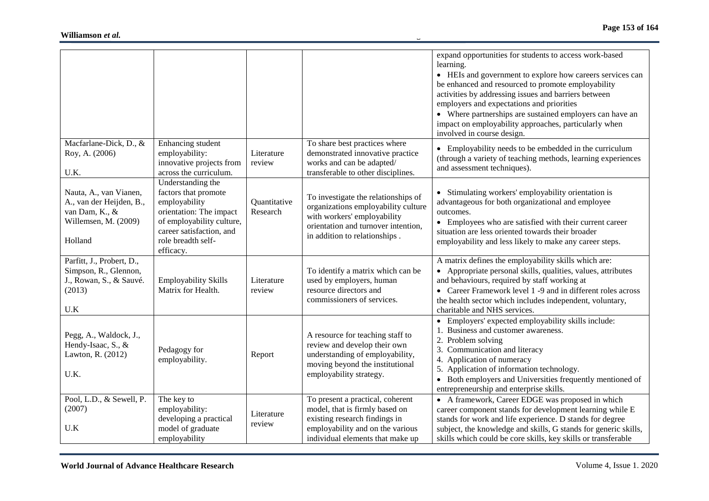|                                                                                                         |                                                                                                                                                                                   |                          |                                                                                                                                                                                   | expand opportunities for students to access work-based<br>learning.<br>• HEIs and government to explore how careers services can<br>be enhanced and resourced to promote employability<br>activities by addressing issues and barriers between<br>employers and expectations and priorities<br>• Where partnerships are sustained employers can have an<br>impact on employability approaches, particularly when<br>involved in course design. |
|---------------------------------------------------------------------------------------------------------|-----------------------------------------------------------------------------------------------------------------------------------------------------------------------------------|--------------------------|-----------------------------------------------------------------------------------------------------------------------------------------------------------------------------------|------------------------------------------------------------------------------------------------------------------------------------------------------------------------------------------------------------------------------------------------------------------------------------------------------------------------------------------------------------------------------------------------------------------------------------------------|
| Macfarlane-Dick, D., &<br>Roy, A. (2006)<br>U.K.                                                        | Enhancing student<br>employability:<br>innovative projects from<br>across the curriculum.                                                                                         | Literature<br>review     | To share best practices where<br>demonstrated innovative practice<br>works and can be adapted/<br>transferable to other disciplines.                                              | • Employability needs to be embedded in the curriculum<br>(through a variety of teaching methods, learning experiences<br>and assessment techniques).                                                                                                                                                                                                                                                                                          |
| Nauta, A., van Vianen,<br>A., van der Heijden, B.,<br>van Dam, K., &<br>Willemsen, M. (2009)<br>Holland | Understanding the<br>factors that promote<br>employability<br>orientation: The impact<br>of employability culture,<br>career satisfaction, and<br>role breadth self-<br>efficacy. | Quantitative<br>Research | To investigate the relationships of<br>organizations employability culture<br>with workers' employability<br>orientation and turnover intention,<br>in addition to relationships. | • Stimulating workers' employability orientation is<br>advantageous for both organizational and employee<br>outcomes.<br>• Employees who are satisfied with their current career<br>situation are less oriented towards their broader<br>employability and less likely to make any career steps.                                                                                                                                               |
| Parfitt, J., Probert, D.,<br>Simpson, R., Glennon,<br>J., Rowan, S., & Sauvé.<br>(2013)<br>U.K          | <b>Employability Skills</b><br>Matrix for Health.                                                                                                                                 | Literature<br>review     | To identify a matrix which can be<br>used by employers, human<br>resource directors and<br>commissioners of services.                                                             | A matrix defines the employability skills which are:<br>• Appropriate personal skills, qualities, values, attributes<br>and behaviours, required by staff working at<br>• Career Framework level 1 -9 and in different roles across<br>the health sector which includes independent, voluntary,<br>charitable and NHS services.                                                                                                                |
| Pegg, A., Waldock, J.,<br>Hendy-Isaac, S., &<br>Lawton, R. (2012)<br>U.K.                               | Pedagogy for<br>employability.                                                                                                                                                    | Report                   | A resource for teaching staff to<br>review and develop their own<br>understanding of employability,<br>moving beyond the institutional<br>employability strategy.                 | • Employers' expected employability skills include:<br>1. Business and customer awareness.<br>2. Problem solving<br>3. Communication and literacy<br>4. Application of numeracy<br>5. Application of information technology.<br>• Both employers and Universities frequently mentioned of<br>entrepreneurship and enterprise skills.                                                                                                           |
| Pool, L.D., & Sewell, P.<br>(2007)<br>U.K                                                               | The key to<br>employability:<br>developing a practical<br>model of graduate<br>employability                                                                                      | Literature<br>review     | To present a practical, coherent<br>model, that is firmly based on<br>existing research findings in<br>employability and on the various<br>individual elements that make up       | • A framework, Career EDGE was proposed in which<br>career component stands for development learning while E<br>stands for work and life experience. D stands for degree<br>subject, the knowledge and skills, G stands for generic skills,<br>skills which could be core skills, key skills or transferable                                                                                                                                   |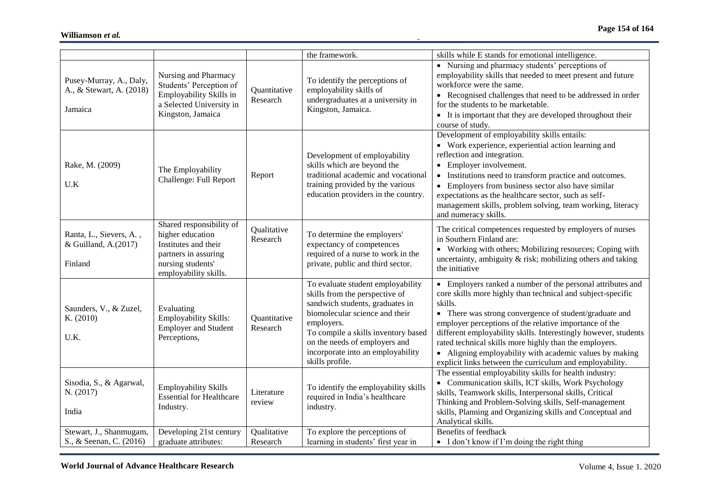|                                                                |                                                                                                                                            |                          | the framework.                                                                                                                                                                                                                                                                         | skills while E stands for emotional intelligence.                                                                                                                                                                                                                                                                                                                                                                                                                                                            |
|----------------------------------------------------------------|--------------------------------------------------------------------------------------------------------------------------------------------|--------------------------|----------------------------------------------------------------------------------------------------------------------------------------------------------------------------------------------------------------------------------------------------------------------------------------|--------------------------------------------------------------------------------------------------------------------------------------------------------------------------------------------------------------------------------------------------------------------------------------------------------------------------------------------------------------------------------------------------------------------------------------------------------------------------------------------------------------|
| Pusey-Murray, A., Daly,<br>A., & Stewart, A. (2018)<br>Jamaica | Nursing and Pharmacy<br>Students' Perception of<br>Employability Skills in<br>a Selected University in<br>Kingston, Jamaica                | Quantitative<br>Research | To identify the perceptions of<br>employability skills of<br>undergraduates at a university in<br>Kingston, Jamaica.                                                                                                                                                                   | • Nursing and pharmacy students' perceptions of<br>employability skills that needed to meet present and future<br>workforce were the same.<br>• Recognised challenges that need to be addressed in order<br>for the students to be marketable.<br>• It is important that they are developed throughout their<br>course of study.                                                                                                                                                                             |
| Rake, M. (2009)<br>U.K                                         | The Employability<br>Challenge: Full Report                                                                                                | Report                   | Development of employability<br>skills which are beyond the<br>traditional academic and vocational<br>training provided by the various<br>education providers in the country.                                                                                                          | Development of employability skills entails:<br>• Work experience, experiential action learning and<br>reflection and integration.<br>• Employer involvement.<br>• Institutions need to transform practice and outcomes.<br>• Employers from business sector also have similar<br>expectations as the healthcare sector, such as self-<br>management skills, problem solving, team working, literacy<br>and numeracy skills.                                                                                 |
| Ranta, L., Sievers, A.,<br>& Guilland, A.(2017)<br>Finland     | Shared responsibility of<br>higher education<br>Institutes and their<br>partners in assuring<br>nursing students'<br>employability skills. | Qualitative<br>Research  | To determine the employers'<br>expectancy of competences<br>required of a nurse to work in the<br>private, public and third sector.                                                                                                                                                    | The critical competences requested by employers of nurses<br>in Southern Finland are:<br>• Working with others; Mobilizing resources; Coping with<br>uncertainty, ambiguity $\&$ risk; mobilizing others and taking<br>the initiative                                                                                                                                                                                                                                                                        |
| Saunders, V., & Zuzel,<br>K. (2010)<br>U.K.                    | Evaluating<br>Employability Skills:<br><b>Employer and Student</b><br>Perceptions,                                                         | Quantitative<br>Research | To evaluate student employability<br>skills from the perspective of<br>sandwich students, graduates in<br>biomolecular science and their<br>employers.<br>To compile a skills inventory based<br>on the needs of employers and<br>incorporate into an employability<br>skills profile. | • Employers ranked a number of the personal attributes and<br>core skills more highly than technical and subject-specific<br>skills.<br>• There was strong convergence of student/graduate and<br>employer perceptions of the relative importance of the<br>different employability skills. Interestingly however, students<br>rated technical skills more highly than the employers.<br>• Aligning employability with academic values by making<br>explicit links between the curriculum and employability. |
| Sisodia, S., & Agarwal,<br>N. (2017)<br>India                  | <b>Employability Skills</b><br><b>Essential for Healthcare</b><br>Industry.                                                                | Literature<br>review     | To identify the employability skills<br>required in India's healthcare<br>industry.                                                                                                                                                                                                    | The essential employability skills for health industry:<br>• Communication skills, ICT skills, Work Psychology<br>skills, Teamwork skills, Interpersonal skills, Critical<br>Thinking and Problem-Solving skills, Self-management<br>skills, Planning and Organizing skills and Conceptual and<br>Analytical skills.                                                                                                                                                                                         |
| Stewart, J., Shanmugam,<br>S., & Seenan, C. (2016)             | Developing 21st century<br>graduate attributes:                                                                                            | Qualitative<br>Research  | To explore the perceptions of<br>learning in students' first year in                                                                                                                                                                                                                   | Benefits of feedback<br>• I don't know if I'm doing the right thing                                                                                                                                                                                                                                                                                                                                                                                                                                          |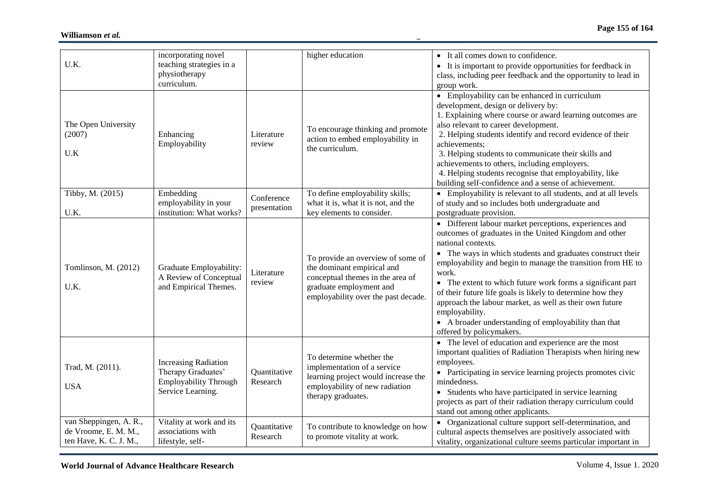| U.K.                                                                     | incorporating novel<br>teaching strategies in a<br>physiotherapy<br>curriculum.                        |                            | higher education                                                                                                                                                      | • It all comes down to confidence.<br>• It is important to provide opportunities for feedback in<br>class, including peer feedback and the opportunity to lead in<br>group work.                                                                                                                                                                                                                                                                                                                                                                                         |
|--------------------------------------------------------------------------|--------------------------------------------------------------------------------------------------------|----------------------------|-----------------------------------------------------------------------------------------------------------------------------------------------------------------------|--------------------------------------------------------------------------------------------------------------------------------------------------------------------------------------------------------------------------------------------------------------------------------------------------------------------------------------------------------------------------------------------------------------------------------------------------------------------------------------------------------------------------------------------------------------------------|
| The Open University<br>(2007)<br>U.K                                     | Enhancing<br>Employability                                                                             | Literature<br>review       | To encourage thinking and promote<br>action to embed employability in<br>the curriculum.                                                                              | • Employability can be enhanced in curriculum<br>development, design or delivery by:<br>1. Explaining where course or award learning outcomes are<br>also relevant to career development.<br>2. Helping students identify and record evidence of their<br>achievements;<br>3. Helping students to communicate their skills and<br>achievements to others, including employers.<br>4. Helping students recognise that employability, like<br>building self-confidence and a sense of achievement.                                                                         |
| Tibby, M. (2015)<br>U.K.                                                 | Embedding<br>employability in your<br>institution: What works?                                         | Conference<br>presentation | To define employability skills;<br>what it is, what it is not, and the<br>key elements to consider.                                                                   | • Employability is relevant to all students, and at all levels<br>of study and so includes both undergraduate and<br>postgraduate provision.                                                                                                                                                                                                                                                                                                                                                                                                                             |
| Tomlinson, M. (2012)<br>U.K.                                             | Graduate Employability:<br>A Review of Conceptual<br>and Empirical Themes.                             | Literature<br>review       | To provide an overview of some of<br>the dominant empirical and<br>conceptual themes in the area of<br>graduate employment and<br>employability over the past decade. | • Different labour market perceptions, experiences and<br>outcomes of graduates in the United Kingdom and other<br>national contexts.<br>• The ways in which students and graduates construct their<br>employability and begin to manage the transition from HE to<br>work.<br>• The extent to which future work forms a significant part<br>of their future life goals is likely to determine how they<br>approach the labour market, as well as their own future<br>employability.<br>• A broader understanding of employability than that<br>offered by policymakers. |
| Trad, M. (2011).<br><b>USA</b>                                           | <b>Increasing Radiation</b><br>Therapy Graduates'<br><b>Employability Through</b><br>Service Learning. | Quantitative<br>Research   | To determine whether the<br>implementation of a service<br>learning project would increase the<br>employability of new radiation<br>therapy graduates.                | • The level of education and experience are the most<br>important qualities of Radiation Therapists when hiring new<br>employees.<br>• Participating in service learning projects promotes civic<br>mindedness.<br>• Students who have participated in service learning<br>projects as part of their radiation therapy curriculum could<br>stand out among other applicants.                                                                                                                                                                                             |
| van Sheppingen, A. R.,<br>de Vroome, E. M. M.,<br>ten Have, K. C. J. M., | Vitality at work and its<br>associations with<br>lifestyle, self-                                      | Quantitative<br>Research   | To contribute to knowledge on how<br>to promote vitality at work.                                                                                                     | • Organizational culture support self-determination, and<br>cultural aspects themselves are positively associated with<br>vitality, organizational culture seems particular important in                                                                                                                                                                                                                                                                                                                                                                                 |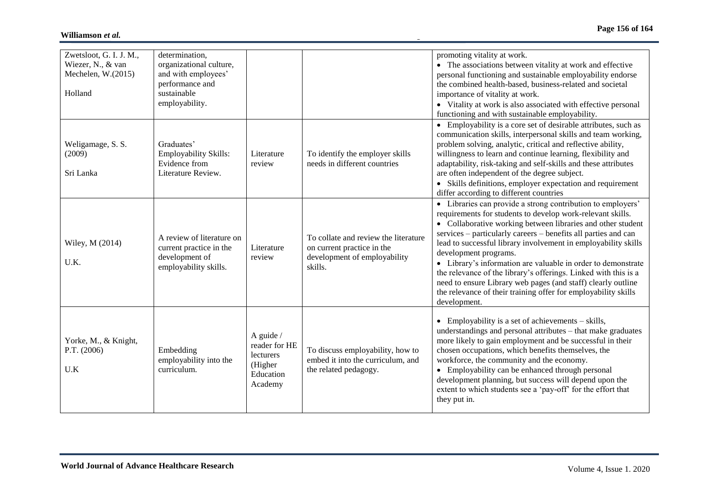| Zwetsloot, G. I. J. M.,<br>Wiezer, N., & van<br>Mechelen, $W.(2015)$<br>Holland | determination,<br>organizational culture,<br>and with employees'<br>performance and<br>sustainable<br>employability. |                                                                              |                                                                                                               | promoting vitality at work.<br>• The associations between vitality at work and effective<br>personal functioning and sustainable employability endorse<br>the combined health-based, business-related and societal<br>importance of vitality at work.<br>• Vitality at work is also associated with effective personal<br>functioning and with sustainable employability.                                                                                                                                                                                                                                                                  |
|---------------------------------------------------------------------------------|----------------------------------------------------------------------------------------------------------------------|------------------------------------------------------------------------------|---------------------------------------------------------------------------------------------------------------|--------------------------------------------------------------------------------------------------------------------------------------------------------------------------------------------------------------------------------------------------------------------------------------------------------------------------------------------------------------------------------------------------------------------------------------------------------------------------------------------------------------------------------------------------------------------------------------------------------------------------------------------|
| Weligamage, S. S.<br>(2009)<br>Sri Lanka                                        | Graduates'<br><b>Employability Skills:</b><br>Evidence from<br>Literature Review.                                    | Literature<br>review                                                         | To identify the employer skills<br>needs in different countries                                               | • Employability is a core set of desirable attributes, such as<br>communication skills, interpersonal skills and team working,<br>problem solving, analytic, critical and reflective ability,<br>willingness to learn and continue learning, flexibility and<br>adaptability, risk-taking and self-skills and these attributes<br>are often independent of the degree subject.<br>• Skills definitions, employer expectation and requirement<br>differ according to different countries                                                                                                                                                    |
| Wiley, M (2014)<br>U.K.                                                         | A review of literature on<br>current practice in the<br>development of<br>employability skills.                      | Literature<br>review                                                         | To collate and review the literature<br>on current practice in the<br>development of employability<br>skills. | • Libraries can provide a strong contribution to employers'<br>requirements for students to develop work-relevant skills.<br>• Collaborative working between libraries and other student<br>services – particularly careers – benefits all parties and can<br>lead to successful library involvement in employability skills<br>development programs.<br>• Library's information are valuable in order to demonstrate<br>the relevance of the library's offerings. Linked with this is a<br>need to ensure Library web pages (and staff) clearly outline<br>the relevance of their training offer for employability skills<br>development. |
| Yorke, M., & Knight,<br>P.T. (2006)<br>U.K                                      | Embedding<br>employability into the<br>curriculum.                                                                   | A guide $/$<br>reader for HE<br>lecturers<br>(Higher<br>Education<br>Academy | To discuss employability, how to<br>embed it into the curriculum, and<br>the related pedagogy.                | • Employability is a set of achievements – skills,<br>understandings and personal attributes – that make graduates<br>more likely to gain employment and be successful in their<br>chosen occupations, which benefits themselves, the<br>workforce, the community and the economy.<br>• Employability can be enhanced through personal<br>development planning, but success will depend upon the<br>extent to which students see a 'pay-off' for the effort that<br>they put in.                                                                                                                                                           |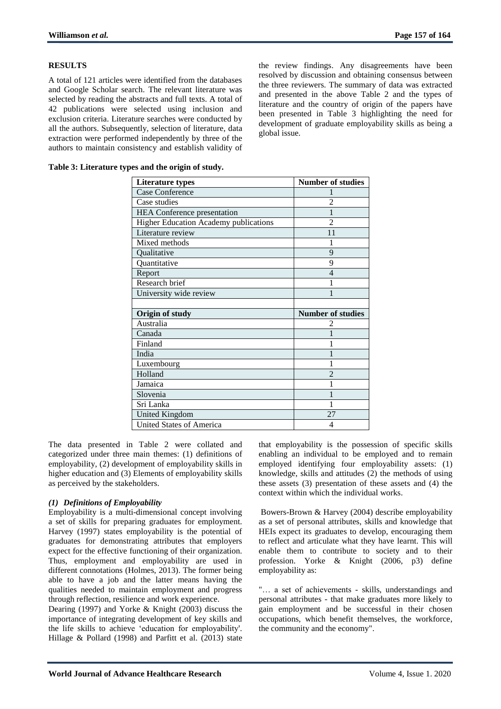# **RESULTS**

A total of 121 articles were identified from the databases and Google Scholar search. The relevant literature was selected by reading the abstracts and full texts. A total of 42 publications were selected using inclusion and exclusion criteria. Literature searches were conducted by all the authors. Subsequently, selection of literature, data extraction were performed independently by three of the authors to maintain consistency and establish validity of

the review findings. Any disagreements have been resolved by discussion and obtaining consensus between the three reviewers. The summary of data was extracted and presented in the above Table 2 and the types of literature and the country of origin of the papers have been presented in Table 3 highlighting the need for development of graduate employability skills as being a global issue.

| <b>Literature types</b>                      | <b>Number of studies</b> |
|----------------------------------------------|--------------------------|
| <b>Case Conference</b>                       |                          |
| Case studies                                 |                          |
| <b>HEA</b> Conference presentation           | 1                        |
| <b>Higher Education Academy publications</b> | $\overline{2}$           |
| Literature review                            | 11                       |
| Mixed methods                                |                          |
| Qualitative                                  | 9                        |
| Quantitative                                 | 9                        |
| Report                                       | $\overline{4}$           |
| Research brief                               |                          |
| University wide review                       | 1                        |
|                                              |                          |
|                                              |                          |
| Origin of study                              | <b>Number of studies</b> |
| Australia                                    | 2                        |
| Canada                                       |                          |
| Finland                                      |                          |
| India                                        |                          |
| Luxembourg                                   |                          |
| Holland                                      | $\mathfrak{D}$           |
| Jamaica                                      |                          |
| Slovenia                                     |                          |
| Sri Lanka                                    | 1                        |
| <b>United Kingdom</b>                        | 27                       |

**Table 3: Literature types and the origin of study.**

The data presented in Table 2 were collated and categorized under three main themes: (1) definitions of employability, (2) development of employability skills in higher education and (3) Elements of employability skills as perceived by the stakeholders.

# *(1) Definitions of Employability*

Employability is a multi-dimensional concept involving a set of skills for preparing graduates for employment. Harvey (1997) states employability is the potential of graduates for demonstrating attributes that employers expect for the effective functioning of their organization. Thus, employment and employability are used in different connotations (Holmes, 2013). The former being able to have a job and the latter means having the qualities needed to maintain employment and progress through reflection, resilience and work experience.

Dearing (1997) and Yorke & Knight (2003) discuss the importance of integrating development of key skills and the life skills to achieve "education for employability'. Hillage & Pollard (1998) and Parfitt et al. (2013) state

that employability is the possession of specific skills enabling an individual to be employed and to remain employed identifying four employability assets: (1) knowledge, skills and attitudes (2) the methods of using these assets (3) presentation of these assets and (4) the context within which the individual works.

Bowers-Brown & Harvey (2004) describe employability as a set of personal attributes, skills and knowledge that HEIs expect its graduates to develop, encouraging them to reflect and articulate what they have learnt. This will enable them to contribute to society and to their profession. Yorke & Knight (2006, p3) define employability as:

"… a set of achievements - skills, understandings and personal attributes - that make graduates more likely to gain employment and be successful in their chosen occupations, which benefit themselves, the workforce, the community and the economy".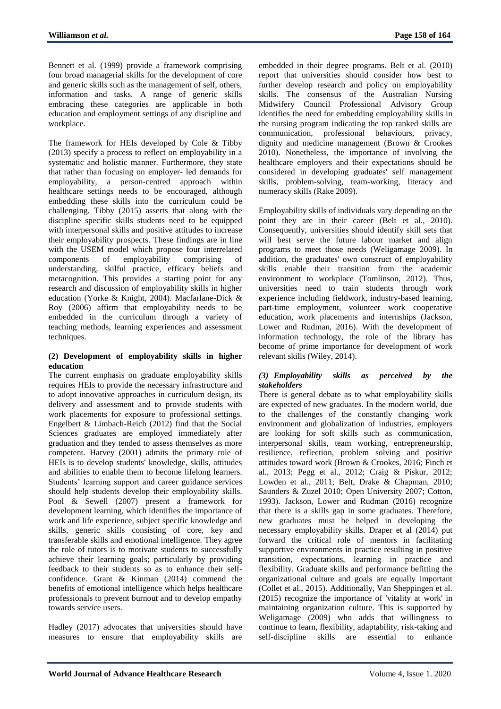Bennett et al. (1999) provide a framework comprising four broad managerial skills for the development of core and generic skills such as the management of self, others, information and tasks. A range of generic skills embracing these categories are applicable in both education and employment settings of any discipline and workplace.

The framework for HEIs developed by Cole & Tibby (2013) specify a process to reflect on employability in a systematic and holistic manner. Furthermore, they state that rather than focusing on employer- led demands for employability, a person-centred approach within healthcare settings needs to be encouraged, although embedding these skills into the curriculum could be challenging. Tibby (2015) asserts that along with the discipline specific skills students need to be equipped with interpersonal skills and positive attitudes to increase their employability prospects. These findings are in line with the USEM model which propose four interrelated components of employability comprising of understanding, skilful practice, efficacy beliefs and metacognition. This provides a starting point for any research and discussion of employability skills in higher education (Yorke & Knight, 2004). Macfarlane-Dick & Roy (2006) affirm that employability needs to be embedded in the curriculum through a variety of teaching methods, learning experiences and assessment techniques.

#### **(2) Development of employability skills in higher education**

The current emphasis on graduate employability skills requires HEIs to provide the necessary infrastructure and to adopt innovative approaches in curriculum design, its delivery and assessment and to provide students with work placements for exposure to professional settings. Engelbert & Limbach-Reich (2012) find that the Social Sciences graduates are employed immediately after graduation and they tended to assess themselves as more competent. Harvey (2001) admits the primary role of HEIs is to develop students' knowledge, skills, attitudes and abilities to enable them to become lifelong learners. Students' learning support and career guidance services should help students develop their employability skills. Pool & Sewell (2007) present a framework for development learning, which identifies the importance of work and life experience, subject specific knowledge and skills, generic skills consisting of core, key and transferable skills and emotional intelligence. They agree the role of tutors is to motivate students to successfully achieve their learning goals; particularly by providing feedback to their students so as to enhance their selfconfidence. Grant & Kinman (2014) commend the benefits of emotional intelligence which helps healthcare professionals to prevent burnout and to develop empathy towards service users.

Hadley (2017) advocates that universities should have measures to ensure that employability skills are

embedded in their degree programs. Belt et al. (2010) report that universities should consider how best to further develop research and policy on employability skills. The consensus of the Australian Nursing Midwifery Council Professional Advisory Group identifies the need for embedding employability skills in the nursing program indicating the top ranked skills are communication, professional behaviours, privacy, dignity and medicine management (Brown & Crookes 2010). Nonetheless, the importance of involving the healthcare employers and their expectations should be considered in developing graduates' self management skills, problem-solving, team-working, literacy and numeracy skills (Rake 2009).

Employability skills of individuals vary depending on the point they are in their career (Belt et al., 2010). Consequently, universities should identify skill sets that will best serve the future labour market and align programs to meet those needs (Weligamage 2009). In addition, the graduates' own construct of employability skills enable their transition from the academic environment to workplace (Tomlinson, 2012). Thus, universities need to train students through work experience including fieldwork, industry-based learning, part-time employment, volunteer work cooperative education, work placements and internships (Jackson, Lower and Rudman, 2016). With the development of information technology, the role of the library has become of prime importance for development of work relevant skills (Wiley, 2014).

# *(3) Employability skills as perceived by the stakeholders*

There is general debate as to what employability skills are expected of new graduates. In the modern world, due to the challenges of the constantly changing work environment and globalization of industries, employers are looking for soft skills such as communication, interpersonal skills, team working, entrepreneurship, resilience, reflection, problem solving and positive attitudes toward work (Brown & Crookes, 2016; Finch et al., 2013; Pegg et al., 2012; Craig & Piskur, 2012; Lowden et al., 2011; Belt, Drake & Chapman, 2010; Saunders & Zuzel 2010; Open University 2007; Cotton, 1993). Jackson, Lower and Rudman (2016) recognize that there is a skills gap in some graduates. Therefore, new graduates must be helped in developing the necessary employability skills. Draper et al (2014) put forward the critical role of mentors in facilitating supportive environments in practice resulting in positive transition, expectations, learning in practice and flexibility. Graduate skills and performance befitting the organizational culture and goals are equally important (Collet et al., 2015). Additionally, Van Sheppingen et al. (2015) recognize the importance of 'vitality at work' in maintaining organization culture. This is supported by Weligamage (2009) who adds that willingness to continue to learn, flexibility, adaptability, risk-taking and self-discipline skills are essential to enhance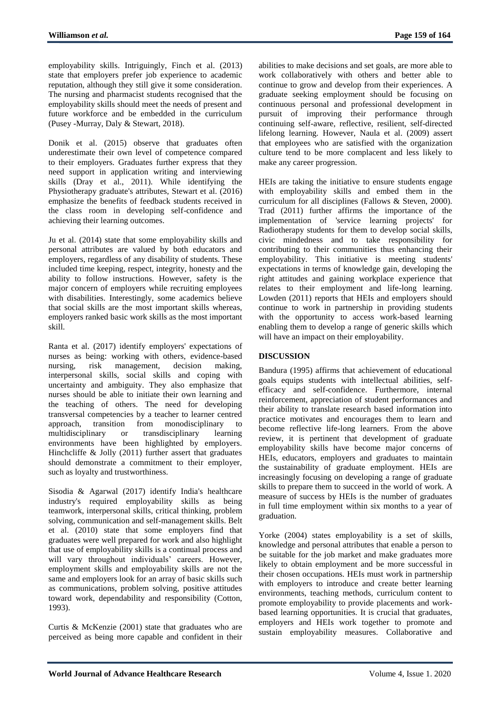employability skills. Intriguingly, Finch et al. (2013) state that employers prefer job experience to academic reputation, although they still give it some consideration. The nursing and pharmacist students recognised that the employability skills should meet the needs of present and future workforce and be embedded in the curriculum (Pusey -Murray, Daly & Stewart, 2018).

Donik et al. (2015) observe that graduates often underestimate their own level of competence compared to their employers. Graduates further express that they need support in application writing and interviewing skills (Dray et al., 2011). While identifying the Physiotherapy graduate's attributes, Stewart et al. (2016) emphasize the benefits of feedback students received in the class room in developing self-confidence and achieving their learning outcomes.

Ju et al. (2014) state that some employability skills and personal attributes are valued by both educators and employers, regardless of any disability of students. These included time keeping, respect, integrity, honesty and the ability to follow instructions. However, safety is the major concern of employers while recruiting employees with disabilities. Interestingly, some academics believe that social skills are the most important skills whereas, employers ranked basic work skills as the most important skill.

Ranta et al. (2017) identify employers' expectations of nurses as being: working with others, evidence-based nursing, risk management, decision making, interpersonal skills, social skills and coping with uncertainty and ambiguity. They also emphasize that nurses should be able to initiate their own learning and the teaching of others. The need for developing transversal competencies by a teacher to learner centred approach, transition from monodisciplinary to multidisciplinary or transdisciplinary learning environments have been highlighted by employers. Hinchcliffe & Jolly (2011) further assert that graduates should demonstrate a commitment to their employer, such as loyalty and trustworthiness.

Sisodia & Agarwal (2017) identify India's healthcare industry's required employability skills as being teamwork, interpersonal skills, critical thinking, problem solving, communication and self-management skills. Belt et al. (2010) state that some employers find that graduates were well prepared for work and also highlight that use of employability skills is a continual process and will vary throughout individuals' careers. However, employment skills and employability skills are not the same and employers look for an array of basic skills such as communications, problem solving, positive attitudes toward work, dependability and responsibility (Cotton, 1993).

Curtis & McKenzie (2001) state that graduates who are perceived as being more capable and confident in their abilities to make decisions and set goals, are more able to work collaboratively with others and better able to continue to grow and develop from their experiences. A graduate seeking employment should be focusing on continuous personal and professional development in pursuit of improving their performance through continuing self-aware, reflective, resilient, self-directed lifelong learning. However, Naula et al. (2009) assert that employees who are satisfied with the organization culture tend to be more complacent and less likely to make any career progression.

HEIs are taking the initiative to ensure students engage with employability skills and embed them in the curriculum for all disciplines (Fallows & Steven, 2000). Trad (2011) further affirms the importance of the implementation of 'service learning projects' for Radiotherapy students for them to develop social skills, civic mindedness and to take responsibility for contributing to their communities thus enhancing their employability. This initiative is meeting students' expectations in terms of knowledge gain, developing the right attitudes and gaining workplace experience that relates to their employment and life-long learning. Lowden (2011) reports that HEIs and employers should continue to work in partnership in providing students with the opportunity to access work-based learning enabling them to develop a range of generic skills which will have an impact on their employability.

# **DISCUSSION**

Bandura (1995) affirms that achievement of educational goals equips students with intellectual abilities, selfefficacy and self-confidence. Furthermore, internal reinforcement, appreciation of student performances and their ability to translate research based information into practice motivates and encourages them to learn and become reflective life-long learners. From the above review, it is pertinent that development of graduate employability skills have become major concerns of HEIs, educators, employers and graduates to maintain the sustainability of graduate employment. HEIs are increasingly focusing on developing a range of graduate skills to prepare them to succeed in the world of work. A measure of success by HEIs is the number of graduates in full time employment within six months to a year of graduation.

Yorke (2004) states employability is a set of skills, knowledge and personal attributes that enable a person to be suitable for the job market and make graduates more likely to obtain employment and be more successful in their chosen occupations. HEIs must work in partnership with employers to introduce and create better learning environments, teaching methods, curriculum content to promote employability to provide placements and workbased learning opportunities. It is crucial that graduates, employers and HEIs work together to promote and sustain employability measures. Collaborative and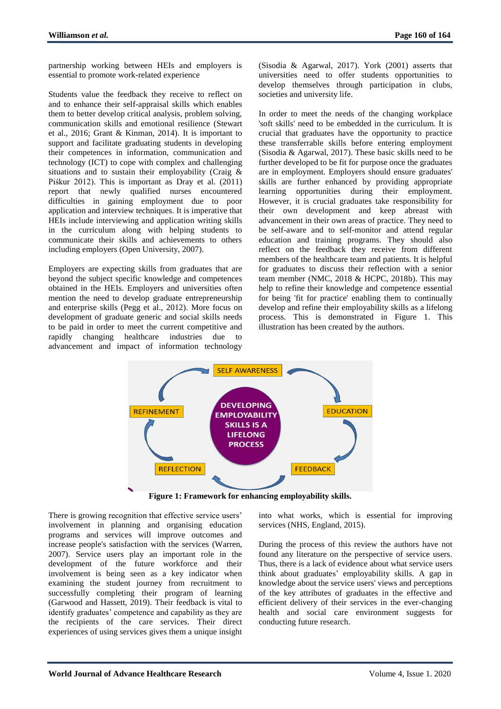partnership working between HEIs and employers is essential to promote work-related experience

Students value the feedback they receive to reflect on and to enhance their self-appraisal skills which enables them to better develop critical analysis, problem solving, communication skills and emotional resilience (Stewart et al., 2016; Grant & Kinman, 2014). It is important to support and facilitate graduating students in developing their competences in information, communication and technology (ICT) to cope with complex and challenging situations and to sustain their employability (Craig & Piśkur 2012). This is important as Dray et al. (2011) report that newly qualified nurses encountered difficulties in gaining employment due to poor application and interview techniques. It is imperative that HEIs include interviewing and application writing skills in the curriculum along with helping students to communicate their skills and achievements to others including employers (Open University, 2007).

Employers are expecting skills from graduates that are beyond the subject specific knowledge and competences obtained in the HEIs. Employers and universities often mention the need to develop graduate entrepreneurship and enterprise skills (Pegg et al., 2012). More focus on development of graduate generic and social skills needs to be paid in order to meet the current competitive and rapidly changing healthcare industries due to advancement and impact of information technology

(Sisodia & Agarwal, 2017). York (2001) asserts that universities need to offer students opportunities to develop themselves through participation in clubs, societies and university life.

In order to meet the needs of the changing workplace 'soft skills' need to be embedded in the curriculum. It is crucial that graduates have the opportunity to practice these transferrable skills before entering employment (Sisodia & Agarwal, 2017). These basic skills need to be further developed to be fit for purpose once the graduates are in employment. Employers should ensure graduates' skills are further enhanced by providing appropriate learning opportunities during their employment. However, it is crucial graduates take responsibility for their own development and keep abreast with advancement in their own areas of practice. They need to be self-aware and to self-monitor and attend regular education and training programs. They should also reflect on the feedback they receive from different members of the healthcare team and patients. It is helpful for graduates to discuss their reflection with a senior team member (NMC, 2018 & HCPC, 2018b). This may help to refine their knowledge and competence essential for being 'fit for practice' enabling them to continually develop and refine their employability skills as a lifelong process. This is demonstrated in Figure 1. This illustration has been created by the authors.



**Figure 1: Framework for enhancing employability skills.**

There is growing recognition that effective service users' involvement in planning and organising education programs and services will improve outcomes and increase people's satisfaction with the services (Warren, 2007). Service users play an important role in the development of the future workforce and their involvement is being seen as a key indicator when examining the student journey from recruitment to successfully completing their program of learning (Garwood and Hassett, 2019). Their feedback is vital to identify graduates' competence and capability as they are the recipients of the care services. Their direct experiences of using services gives them a unique insight

into what works, which is essential for improving services (NHS, England, 2015).

During the process of this review the authors have not found any literature on the perspective of service users. Thus, there is a lack of evidence about what service users think about graduates" employability skills. A gap in knowledge about the service users' views and perceptions of the key attributes of graduates in the effective and efficient delivery of their services in the ever-changing health and social care environment suggests for conducting future research.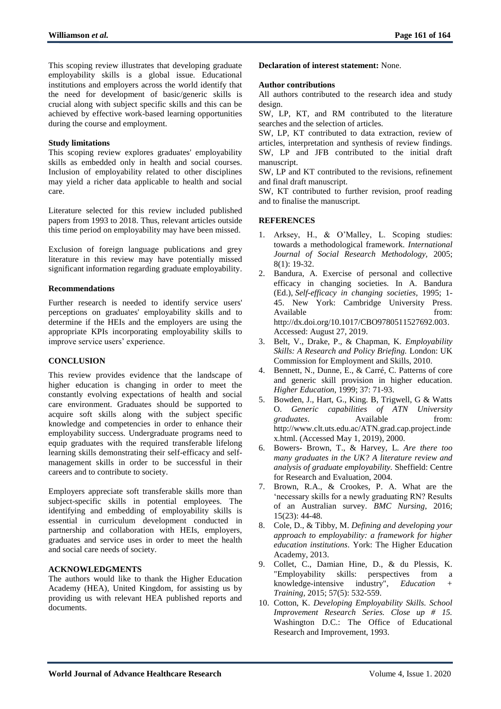This scoping review illustrates that developing graduate employability skills is a global issue. Educational institutions and employers across the world identify that the need for development of basic/generic skills is crucial along with subject specific skills and this can be achieved by effective work-based learning opportunities during the course and employment.

#### **Study limitations**

This scoping review explores graduates' employability skills as embedded only in health and social courses. Inclusion of employability related to other disciplines may yield a richer data applicable to health and social care.

Literature selected for this review included published papers from 1993 to 2018. Thus, relevant articles outside this time period on employability may have been missed.

Exclusion of foreign language publications and grey literature in this review may have potentially missed significant information regarding graduate employability.

#### **Recommendations**

Further research is needed to identify service users' perceptions on graduates' employability skills and to determine if the HEIs and the employers are using the appropriate KPIs incorporating employability skills to improve service users' experience.

# **CONCLUSION**

This review provides evidence that the landscape of higher education is changing in order to meet the constantly evolving expectations of health and social care environment. Graduates should be supported to acquire soft skills along with the subject specific knowledge and competencies in order to enhance their employability success. Undergraduate programs need to equip graduates with the required transferable lifelong learning skills demonstrating their self-efficacy and selfmanagement skills in order to be successful in their careers and to contribute to society.

Employers appreciate soft transferable skills more than subject-specific skills in potential employees. The identifying and embedding of employability skills is essential in curriculum development conducted in partnership and collaboration with HEIs, employers, graduates and service uses in order to meet the health and social care needs of society.

# **ACKNOWLEDGMENTS**

The authors would like to thank the Higher Education Academy (HEA), United Kingdom, for assisting us by providing us with relevant HEA published reports and documents.

#### **Declaration of interest statement:** None.

#### **Author contributions**

All authors contributed to the research idea and study design.

SW, LP, KT, and RM contributed to the literature searches and the selection of articles.

SW, LP, KT contributed to data extraction, review of articles, interpretation and synthesis of review findings. SW, LP and JFB contributed to the initial draft manuscript.

SW, LP and KT contributed to the revisions, refinement and final draft manuscript.

SW, KT contributed to further revision, proof reading and to finalise the manuscript.

## **REFERENCES**

- 1. Arksey, H., & O"Malley, L. Scoping studies: towards a methodological framework. *International Journal of Social Research Methodology,* 2005; 8(1): 19-32.
- 2. Bandura, A. Exercise of personal and collective efficacy in changing societies. In A. Bandura (Ed.), *Self-efficacy in changing societies,* 1995; 1- 45. New York: Cambridge University Press. Available from:  $\blacksquare$ [http://dx.doi.org/10.1017/CBO9780511527692.003.](https://psycnet.apa.org/doi/10.1017/CBO9780511527692.003) Accessed: August 27, 2019.
- 3. Belt, V., Drake, P., & Chapman, K. *Employability Skills: A Research and Policy Briefing.* London: UK Commission for Employment and Skills, 2010.
- 4. Bennett, N., Dunne, E., & Carré, C. Patterns of core and generic skill provision in higher education. *Higher Education*, 1999; 37: 71-93.
- 5. Bowden, J., Hart, G., King. B, Trigwell, G & Watts O. *Generic capabilities of ATN University graduates*. Available from: [http://www.clt.uts.edu.ac/ATN.grad.cap.project.inde](http://www.clt.uts.edu.ac/ATN.grad.cap.project.index.html) [x.html.](http://www.clt.uts.edu.ac/ATN.grad.cap.project.index.html) (Accessed May 1, 2019), 2000.
- 6. Bowers- Brown, T., & Harvey, L. *Are there too many graduates in the UK? A literature review and analysis of graduate employability.* Sheffield: Centre for Research and Evaluation, 2004.
- 7. Brown, R.A., & Crookes, P. A. What are the 'necessary skills for a newly graduating RN? Results of an Australian survey. *BMC Nursing*, 2016; 15(23): 44-48.
- 8. Cole, D., & Tibby, M. *Defining and developing your approach to employability: a framework for higher education institutions*. York: The Higher Education Academy, 2013.
- 9. Collet, C., Damian Hine, D., & du Plessis, K. "Employability skills: perspectives from a knowledge-intensive industry", *Education Training,* 2015; 57(5): 532-559.
- 10. Cotton, K. *Developing Employability Skills. School Improvement Research Series. Close up # 15.* Washington D.C.: The Office of Educational Research and Improvement, 1993.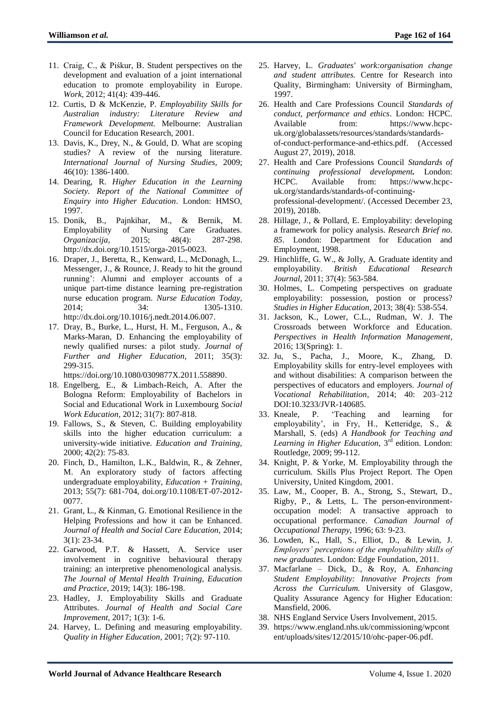- 11. Craig, C., & Piśkur, B. Student perspectives on the development and evaluation of a joint international education to promote employability in Europe. *Work,* 2012; 41(4): 439-446.
- 12. Curtis, D & McKenzie, P. *Employability Skills for Australian industry: Literature Review and Framework Development.* Melbourne: Australian Council for Education Research, 2001.
- 13. Davis, K., Drey, N., & Gould, D. What are scoping studies? A review of the nursing literature. *International Journal of Nursing Studies,* 2009; 46(10): 1386-1400.
- 14. Dearing, R. *Higher Education in the Learning Society. Report of the National Committee of Enquiry into Higher Education*. London: HMSO, 1997.
- 15. Donik, B., Pajnkihar, M., & Bernik, M. Employability of Nursing Care Graduates. *Organizacija*, 2015; 48(4): 287-298. [http://dx.doi.org/10.1515/orga-2015-0023.](http://dx.doi.org/10.1515/orga-2015-0023)
- 16. Draper, J., Beretta, R., Kenward, L., McDonagh, L., Messenger, J., & Rounce, J. Ready to hit the ground running': Alumni and employer accounts of a unique part-time distance learning pre-registration nurse education program. *Nurse Education Today,* 2014; 34: 1305-1310. [http://dx.doi.org/10.1016/j.nedt.2014.06.007.](http://dx.doi.org/10.1016/j.nedt.2014.06.007)
- 17. Dray, B., Burke, L., Hurst, H. M., Ferguson, A., & Marks-Maran, D. Enhancing the employability of newly qualified nurses: a pilot study. *Journal of Further and Higher Education,* 2011; 35(3): 299-315.

[https://doi.org/10.1080/0309877X.2011.558890.](https://doi.org/10.1080/0309877X.2011.558890)

- 18. Engelberg, E., & Limbach-Reich, A. After the Bologna Reform: Employability of Bachelors in Social and Educational Work in Luxembourg *Social Work Education,* 2012; 31(7): 807-818.
- 19. Fallows, S., & Steven, C. Building employability skills into the higher education curriculum: a university-wide initiative. *Education and Training,* 2000; 42(2): 75-83.
- 20. Finch, D., Hamilton, L.K., Baldwin, R., & Zehner, M. An exploratory study of factors affecting undergraduate employability, *Education + Training*, 2013; 55(7): 681-704, doi.org/10.1108/ET-07-2012- 0077.
- 21. Grant, L., & Kinman, G. Emotional Resilience in the Helping Professions and how it can be Enhanced. *Journal of Health and Social Care Education,* 2014; 3(1): 23-34.
- 22. Garwood, P.T. & Hassett, A. Service user involvement in cognitive behavioural therapy training: an interpretive phenomenological analysis. *The Journal of Mental Health Training, Education and Practice*, 2019; 14(3): 186-198.
- 23. Hadley, J. Employability Skills and Graduate Attributes. *Journal of Health and Social Care Improvement,* 2017; 1(3): 1-6.
- 24. Harvey, L. Defining and measuring employability. *Quality in Higher Education*, 2001; 7(2): 97-110.
- 25. Harvey, L. *Graduates' work:organisation change and student attributes.* Centre for Research into Quality, Birmingham: University of Birmingham, 1997.
- 26. Health and Care Professions Council *Standards of conduct, performance and ethics*. London: HCPC. Available from: [https://www.hcpc](https://www.hcpc-uk.org/globalassets/resources/standards/standards-of-conduct-performance-and-ethics.pdf)[uk.org/globalassets/resources/standards/standards](https://www.hcpc-uk.org/globalassets/resources/standards/standards-of-conduct-performance-and-ethics.pdf)[of-conduct-performance-and-ethics.pdf.](https://www.hcpc-uk.org/globalassets/resources/standards/standards-of-conduct-performance-and-ethics.pdf) (Accessed August 27, 2019), 2018.
- 27. Health and Care Professions Council *Standards of continuing professional development.* London: HCPC. Available from: https://www.hcpcuk.org/standards/standards-of-continuingprofessional-development/. (Accessed December 23, 2019), 2018b.
- 28. Hillage, J., & Pollard, E. Employability: developing a framework for policy analysis. *Research Brief no. 85*. London: Department for Education and Employment, 1998.
- 29. Hinchliffe, G. W., & Jolly, A. Graduate identity and employability. *British Educational Research Journal*, 2011; 37(4): 563-584.
- 30. Holmes, L. Competing perspectives on graduate employability: possession, postion or process? *Studies in Higher Education,* 2013; 38(4): 538-554.
- 31. Jackson, K., Lower, C.L., Rudman, W. J. The Crossroads between Workforce and Education. *Perspectives in Health Information Management*, 2016; 13(Spring): 1.
- 32. Ju, S., Pacha, J., Moore, K., Zhang, D. Employability skills for entry-level employees with and without disabilities: A comparison between the perspectives of educators and employers. *Journal of Vocational Rehabilitation*, 2014; 40: 203–212 DOI:10.3233/JVR-140685.
- 33. Kneale, P. "Teaching and learning for employability', in Fry, H., Ketteridge, S., & Marshall, S. (eds) *A Handbook for Teaching and*  Learning in Higher Education, 3<sup>rd</sup> edition. London: Routledge, 2009; 99-112.
- 34. Knight, P. & Yorke, M. Employability through the curriculum. Skills Plus Project Report. The Open University, United Kingdom, 2001.
- 35. Law, M., Cooper, B. A., Strong, S., Stewart, D., Rigby, P., & Letts, L. The person-environmentoccupation model: A transactive approach to occupational performance. *Canadian Journal of Occupational Therapy,* 1996; 63: 9-23.
- 36. Lowden, K., Hall, S., Elliot, D., & Lewin, J. *Employers' perceptions of the employability skills of new graduates.* London: Edge Foundation, 2011.
- 37. Macfarlane Dick, D., & Roy, A. *Enhancing Student Employability: Innovative Projects from Across the Curriculum.* University of Glasgow, Quality Assurance Agency for Higher Education: Mansfield, 2006.
- 38. NHS England Service Users Involvement, 2015.
- 39. https://www.england.nhs.uk/commissioning/wpcont ent/uploads/sites/12/2015/10/ohc-paper-06.pdf.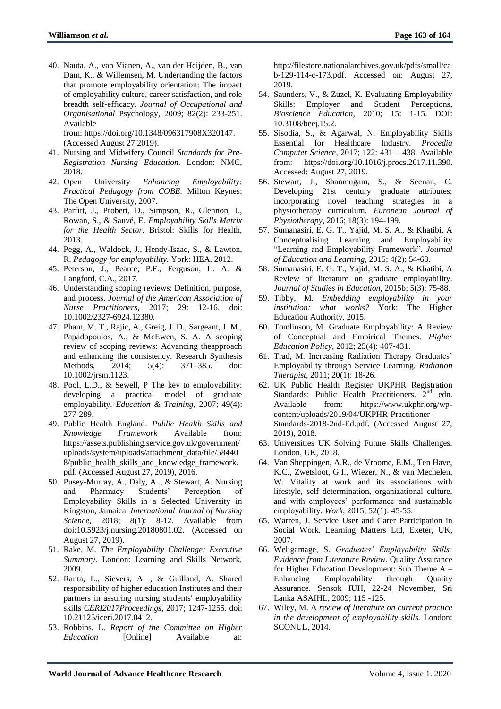40. Nauta, A., van Vianen, A., van der Heijden, B., van Dam, K., & Willemsen, M. Undertanding the factors that promote employability orientation: The impact of employability culture, career satisfaction, and role breadth self-efficacy. *Journal of Occupational and Organisational* Psychology, 2009; 82(2): 233-251. Available from: [https://doi.org/10.1348/096317908X320147.](https://doi.org/10.1348/096317908X320147)

(Accessed August 27 2019).

- 41. Nursing and Midwifery Council *Standards for Pre-Registration Nursing Education.* London: NMC, 2018.
- 42. Open University *Enhancing Employability: Practical Pedagogy from COBE.* Milton Keynes: The Open University, 2007.
- 43. Parfitt, J., Probert, D., Simpson, R., Glennon, J., Rowan, S., & Sauvé, E. *Employability Skills Matrix for the Health Sector*. Bristol: Skills for Health, 2013.
- 44. Pegg, A., Waldock, J., Hendy-Isaac, S., & Lawton, R. *Pedagogy for employability.* York: HEA, 2012.
- 45. Peterson, J., Pearce, P.F., Ferguson, L. A. & Langford, C.A., 2017.
- 46. Understanding scoping reviews: Definition, purpose, and process. *Journal of the American Association of Nurse Practitioners,* 2017; 29: 12-16. doi: 10.1002/2327-6924.12380.
- 47. Pham, M. T., Rajic, A., Greig, J. D., Sargeant, J. M., Papadopoulos, A., & McEwen, S. A. A scoping review of scoping reviews: Advancing theapproach and enhancing the consistency. Research Synthesis Methods, 2014; 5(4): 371–385. doi: 10.1002/jrsm.1123.
- 48. Pool, L.D., & Sewell, P The key to employability: developing a practical model of graduate employability. *Education & Training*, 2007; 49(4): 277-289.
- 49. Public Health England. *Public Health Skills and Knowledge Framework* Available from: [https://assets.publishing.service.gov.uk/government/](https://assets.publishing.service.gov.uk/government/uploads/system/uploads/attachment_data/file/584408/public_health_skills_and_knowledge_framework.pdf) [uploads/system/uploads/attachment\\_data/file/58440](https://assets.publishing.service.gov.uk/government/uploads/system/uploads/attachment_data/file/584408/public_health_skills_and_knowledge_framework.pdf) [8/public\\_health\\_skills\\_and\\_knowledge\\_framework.](https://assets.publishing.service.gov.uk/government/uploads/system/uploads/attachment_data/file/584408/public_health_skills_and_knowledge_framework.pdf) [pdf.](https://assets.publishing.service.gov.uk/government/uploads/system/uploads/attachment_data/file/584408/public_health_skills_and_knowledge_framework.pdf) (Accessed August 27, 2019), 2016.
- 50. Pusey-Murray, A., Daly, A.., & Stewart, A. Nursing and Pharmacy Students" Perception of Employability Skills in a Selected University in Kingston, Jamaica. *International Journal of Nursing Science*, 2018; 8(1): 8-12. Available from doi:10.5923/j.nursing.20180801.02. (Accessed on August 27, 2019).
- 51. Rake, M. *The Employability Challenge: Executive Summary*. London: Learning and Skills Network, 2009.
- 52. Ranta, L., Sievers, A. , & Guilland, A. Shared responsibility of higher education Institutes and their partners in assuring nursing students' employability skills *CERI2017Proceedings*, 2017; 1247‐1255. doi: 10.21125/iceri.2017.0412.
- 53. Robbins, L. *Report of the Committee on Higher Education* [Online] Available at:

[http://filestore.nationalarchives.gov.uk/pdfs/small/ca](http://filestore.nationalarchives.gov.uk/pdfs/small/cab-129-114-c-173.pdf) [b-129-114-c-173.pdf.](http://filestore.nationalarchives.gov.uk/pdfs/small/cab-129-114-c-173.pdf) Accessed on: August 27, 2019.

- 54. Saunders, V., & Zuzel, K. Evaluating Employability Skills: Employer and Student Perceptions, *Bioscience Education,* 2010; 15: 1-15. DOI: 10.3108/beej.15.2.
- 55. Sisodia, S., & Agarwal, N. Employability Skills Essential for Healthcare Industry. *Procedia Computer Science,* 2017; 122: 431 – 438. Available from: [https://doi.org/10.1016/j.procs.2017.11.390.](https://doi.org/10.1016/j.procs.2017.11.390) Accessed: August 27, 2019.
- 56. Stewart, J., Shanmugam, S., & Seenan, C. Developing 21st century graduate attributes: incorporating novel teaching strategies in a physiotherapy curriculum. *European Journal of Physiotherapy*, 2016; 18(3): 194-199.
- 57. Sumanasiri, E. G. T., Yajid, M. S. A., & Khatibi, A Conceptualising Learning and Employability "Learning and Employability Framework". *Journal of Education and Learning*, 2015; 4(2): 54-63.
- 58. Sumanasiri, E. G. T., Yajid, M. S. A., & Khatibi, A Review of literature on graduate employability. *Journal of Studies in Education*, 2015b; 5(3): 75-88.
- 59. Tibby, M. *Embedding employability in your institution: what works?* York: The Higher Education Authority, 2015.
- 60. Tomlinson, M. Graduate Employability: A Review of Conceptual and Empirical Themes. *Higher Education Policy,* 2012; 25(4): 407-431.
- 61. Trad, M. Increasing Radiation Therapy Graduates" Employability through Service Learning. *Radiation Therapist,* 2011; 20(1): 18-26.
- 62. UK Public Health Register UKPHR Registration Standards: Public Health Practitioners.  $2<sup>nd</sup>$  edn. Available from: [https://www.ukphr.org/wp](https://www.ukphr.org/wp-content/uploads/2019/04/UKPHR-Practitioner-Standards-2018-2nd-Ed.pdf)[content/uploads/2019/04/UKPHR-Practitioner-](https://www.ukphr.org/wp-content/uploads/2019/04/UKPHR-Practitioner-Standards-2018-2nd-Ed.pdf)[Standards-2018-2nd-Ed.pdf.](https://www.ukphr.org/wp-content/uploads/2019/04/UKPHR-Practitioner-Standards-2018-2nd-Ed.pdf) (Accessed August 27, 2019), 2018.
- 63. Universities UK Solving Future Skills Challenges. London, UK, 2018.
- 64. Van Sheppingen, A.R., de Vroome, E.M., Ten Have, K.C., Zwetsloot, G.I., Wiezer, N., & van Mechelen, W. Vitality at work and its associations with lifestyle, self determination, organizational culture, and with employees" performance and sustainable employability. *Work*, 2015; 52(1): 45-55.
- 65. Warren, J. Service User and Carer Participation in Social Work. Learning Matters Ltd, Exeter, UK, 2007.
- 66. Weligamage, S. *Graduates' Employability Skills: Evidence from Literature Review.* Quality Assurance for Higher Education Development: Sub Theme A – Enhancing Employability through Quality Assurance. Sensok IUH, 22-24 November, Sri Lanka ASAIHL, 2009; 115 -125.
- 67. Wiley, M. A *review of literature on current practice in the development of employability skills.* London: SCONUL, 2014.